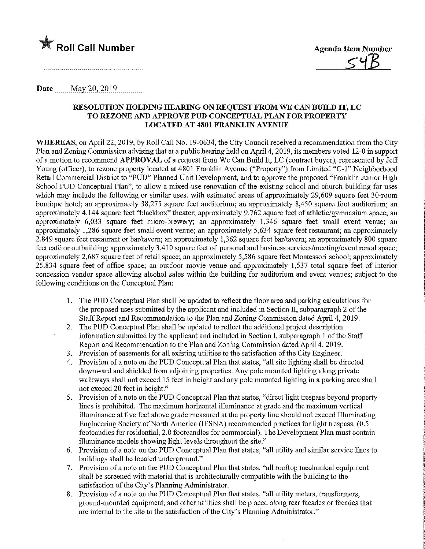

## Date <u>May 20</u>, 2019

## RESOLUTION HOLDING HEARING ON REQUEST FROM WE CAN BUILD IT, LC TO REZONE AND APPROVE PUD CONCEPTUAL PLAN FOR PROPERTY LOCATED AT 4801 FRANKLIN AVENUE

WHEREAS, on April 22, 2019, by Roll Call No. 19-0634, the City Council received a recommendation from the City Plan and Zoning Commission advising that at a public hearmg held on April 4,2019, its members voted 12-0 in support of a motion to recommend APPROVAL of a request from We Can Build It, LC (contract buyer), represented by Jeff Young (officer), to rezone property located at 4801 Franklin Avenue ("Property") from Limited "C-1" Neighborhood Retail Commercial District to "PUD" Planned Unit Development, and to approve the proposed "Franklin Junior High School PUD Conceptual Plan", to allow a mixed-use renovation of the existing school and church building for uses which may include the following or similar uses, with estimated areas of approximately 29,609 square feet 30-room boutique hotel; an approximately 38,275 square feet auditorium; an approximately 8,450 square foot auditorium; an approximately 4,144 square feet "blackbox" theater; approximately 9,762 square feet of athletic/gymnasium space; an approximately 6,033 square feet micro-brewery; an approximately 1,346 square feet small event venue; an approximately 1,286 square feet small event venue; an approximately 5,634 square feet restaurant; an approximately 2,849 square feet restaurant or bar/tavern; an approximately 1,362 square feet bar/tavern; an approximately 800 square feet café or outbuilding; approximately 3,410 square feet of personal and business services/meeting/event rental space; approximately 2,687 square feet of retail space; an approximately 5,586 square feet Montessori school; approximately 25,834 square feet of office space; an outdoor movie venue and approximately 1,537 total square feet of interior concession vendor space allowmg alcohol sales within the building for auditorium and event venues; subject to the following conditions on the Conceptual Plan:

- 1. The PUD Conceptual Plan shall be updated to reflect the floor area and parking calculations for the proposed uses submitted by the applicant and included in Section II, subparagraph 2 of the Staff Report and Recommendation to the Plan and Zoning Commission dated April 4, 2019.
- 2. The PUD Conceptual Plan shall be updated to reflect the additional project description information submitted by the applicant and included in Section I, subparagraph 1 of the Staff Report and Recommendation to the Plan and Zoning Commission dated April 4,2019.
- 3. Provision of easements for all existing utilities to the satisfaction of the City Engineer.
- 4. Provision of a note on the PUD Conceptual Plan that states, "all site lighting shall be directed downward and shielded from adjoining properties. Any pole mounted lighting along private walkways shall not exceed 15 feet in height and any pole mounted lighting in a parking area shall not exceed 20 feet in height."
- 5. Provision of a note on the PUD Conceptual Plan that states, "direct light trespass beyond property lines is prohibited. The maximum horizontal illuminance at grade and the maximum vertical illuminance at five feet above grade measured at the property line should not exceed Illuminating Engineering Society of North America (IESNA) recommended practices for light trespass. (0.5 footcandles for residential, 2.0 footcandles for commercial). The Development Plan must contain illuminance models showing light levels throughout the site."
- 6. Provision of a note on the PUD Conceptual Plan that states, "all utility and similar service lines to buildings shall be located underground."
- 7. Provision of a note on the PUD Conceptual Plan that states, "all rooftop mechanical equipment shall be screened with material that is architecturally compatible with the building to the satisfaction of the City's Planning Administrator.
- 8. Provision of a note on the PUD Conceptual Plan that states, "all utility meters, transformers, ground-mounted equipment, and other utilities shall be placed along rear facades or facades that are internal to the site to the satisfaction of the City's Planning Administrator."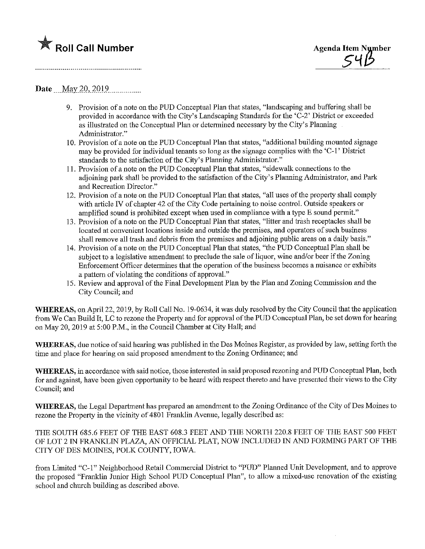

Date May 20, 2019

- 9. Provision of a note on the PUD Conceptual Plan that states, "landscaping and buffering shall be provided in accordance with the City's Landscaping Standards for the 'C-2' District or exceeded as illustrated on the Conceptual Plan or determined necessary by the City's Planning Administrator."
- 10. Provision of a note on the PUD Conceptual Plan that states, "additional building mounted signage may be provided for individual tenants so long as the signage complies with the 'C-l' District standards to the satisfaction of the City's Planning Administrator."
- 11. Provision of a note on the PUD Conceptual Plan that states, "sidewalk connections to the adjoining park shall be provided to the satisfaction of the City's Planning Administrator, and Park and Recreation Director."
- 12. Provision of a note on the PUD Conceptual Plan that states, "all uses of the property shall comply with article W of chapter 42 of the City Code pertaining to noise control. Outside speakers or amplified sound is prohibited except when used in compliance with a type E sound permit.
- 13. Provision of a note on the PUD Conceptual Plan that states, "litter and trash receptacles shall be located at convenient locations inside and outside the premises, and operators of such business shall remove all trash and debris from the premises and adjoining public areas on a daily basis."
- 14. Provision of a note on the PUD Conceptual Plan that states, "the PUD Conceptual Plan shall be subject to a legislative amendment to preclude the sale of liquor, wine and/or beer if the Zoning Enforcement Officer detennmes that the operation of the business becomes a nuisance or exhibits a pattern of violating the conditions of approval."
- 15. Review and approval of the Final Development Plan by the Plan and Zoning Commission and the City Council; and

WHEREAS, on April 22, 2019, by Roll Call No. 19-0634, it was duly resolved by the City Council that the application from We Can Build It, LC to rezone the Property and for approval of the PUD Conceptual Plan, be set down for hearing on May 20, 2019 at 5:00 P.M., in the Council Chamber at City Hall; and

WHEREAS, due notice of said hearing was published in the Des Moines Register, as provided by law, setting forth the time and place for hearing on said proposed amendment to the Zoning Ordinance; and

WHEREAS, in accordance with said notice, those interested in said proposed rezoning and PUD Conceptual Plan, both for and against, have been given opportunity to be heard with respect thereto and have presented their views to the City Council; and

WHEREAS, the Legal Department has prepared an amendment to the Zoning Ordinance of the City of Des Moines to rezone the Property in the vicinity of 4801 Franklin Avenue, legally described as:

THE SOUTH 685.6 FEET OF THE EAST 608.3 FEET AND THE NORTH 220.8 FEET OF THE EAST 500 FEET OF LOT 2 IN FRANKLIN PLAZA, AN OFFICIAL PLAT, NOW INCLUDED IN AND FORMING PART OF THE CITY OF DES MOINES, POLK COUNTY, IOWA.

from Limited "C-1" Neighborhood Retail Commercial District to "PUD" Planned Unit Development, and to approve the proposed "Franklin Junior High School PUD Conceptual Plan", to allow a mixed-use renovation of the existing school and church building as described above.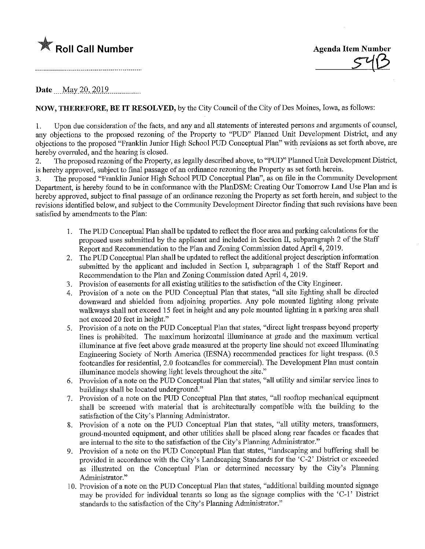



Date May 20, 2019.

NOW, THEREFORE, BE IT RESOLVED, by the City Council of the City ofDes Moines, Iowa, as follows:

1. Upon due consideration of the facts, and any and all statements of interested persons and arguments of counsel, any objections to the proposed rezoning of the Property to "PUD" Planned Unit Development District, and any objections to the proposed "Franklin Junior High School PUD Conceptual Plan" with revisions as set forth above, are hereby overruled, and the hearing is closed.

2. The proposed rezoning of the Property, as legally described above, to "PUD" Planned Unit Development District, is hereby approved, subject to final passage of an ordinance rezoning the Property as set forth herein.

3. The proposed "Franklin Junior High School PUD Conceptial Plan", as on file in the Community Development Department, is hereby found to be in conformance with the PlanDSM: Creating Our Tomorrow Land Use Plan and is hereby approved, subject to final passage of an ordinance rezoning the Property as set forth herein, and subject to the revisions identified below, and subject to the Community Development Director findmg that such revisions have been satisfied by amendments to the Plan:

- 1. The PUD Conceptual Plan shall be updated to reflect the floor area and parking calculations for the proposed uses submitted by the applicant and included in Section II, subparagraph 2 of the Staff Report and Recommendation to the Plan and Zoning Commission dated April 4, 2019.
- 2. The PUD Conceptual Plan shall be updated to reflect the additional project description information submitted by the applicant and included in Section I, subparagraph 1 of the Staff Report and Recommendation to the Plan and Zoning Commission dated April 4, 2019.
- 3. Provision of easements for all existing utilities to the satisfaction of the City Engineer.
- 4. Provision of a note on the PUD Conceptual Plan that states, "all site lighting shall be directed downward and shielded from adjoining properties. Any pole mounted lighting along private walkways shall not exceed 15 feet in height and any pole mounted lighting in a parking area shall not exceed 20 feet in height."
- 5. Provision of a note on the PUD Conceptial Plan that states, "direct light trespass beyond property lines is prohibited. The maximum horizontal illuminance at grade and the maximum vertical illuminance at five feet above grade measured at the property line should not exceed Illuminating Engineering Society of North America (EBSNA) recommended practices for light trespass. (0.5 footcandles for residential, 2.0 footcandles for commercial). The Development Plan must contain illuminance models showing light levels throughout the site."
- 6. Provision of a note on the PUD Conceptual Plan that states, "all utility and similar service lines to buildings shall be located underground."
- 7. Provision of a note on the PUD Conceptual Plan that states, "all rooftop mechanical equipment shall be screened with material that is architecturally compatible with the building to the satisfaction of the City's Planning Administrator.
- 8. Provision of a note on the PUD Concephial Plan that states, "all utility meters, transfonners, ground-mounted equipment, and other utilities shall be placed along rear facades or facades that are internal to the site to the satisfaction of the City's Planning Administrator.
- 9. Provision of a note on the PUD Conceptual Plan that states, "landscaping and buffering shall be provided in accordance with the City's Landscaping Standards for the 'C-2' District or exceeded as illustrated on the Conceptual Plan or determined necessary by the City's Planning Administrator."
- 10. Provision of a note on the PUD Concephial Plan that states, "additional building mounted signage may be provided for individual tenants so long as the signage complies with the <C-1' District standards to the satisfaction of the City's Planning Administrator."